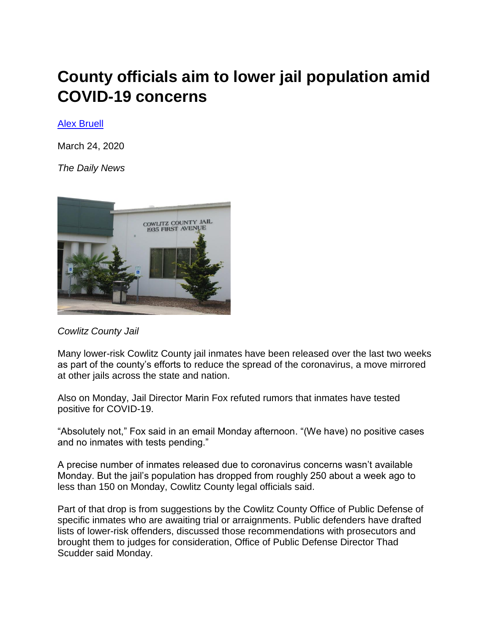## **County officials aim to lower jail population amid COVID-19 concerns**

[Alex Bruell](https://tdn.com/users/profile/Alex%20Bruell) 

March 24, 2020

*The Daily News*



*Cowlitz County Jail*

Many lower-risk Cowlitz County jail inmates have been released over the last two weeks as part of the county's efforts to reduce the spread of the coronavirus, a move mirrored at other jails across the state and nation.

Also on Monday, Jail Director Marin Fox refuted rumors that inmates have tested positive for COVID-19.

"Absolutely not," Fox said in an email Monday afternoon. "(We have) no positive cases and no inmates with tests pending."

A precise number of inmates released due to coronavirus concerns wasn't available Monday. But the jail's population has dropped from roughly 250 about a week ago to less than 150 on Monday, Cowlitz County legal officials said.

Part of that drop is from suggestions by the Cowlitz County Office of Public Defense of specific inmates who are awaiting trial or arraignments. Public defenders have drafted lists of lower-risk offenders, discussed those recommendations with prosecutors and brought them to judges for consideration, Office of Public Defense Director Thad Scudder said Monday.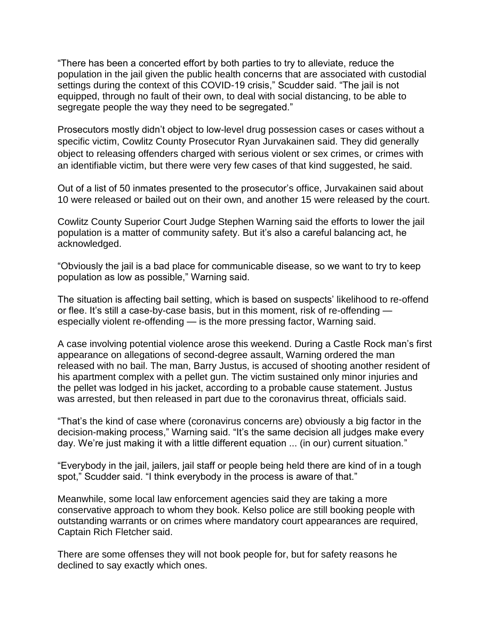"There has been a concerted effort by both parties to try to alleviate, reduce the population in the jail given the public health concerns that are associated with custodial settings during the context of this COVID-19 crisis," Scudder said. "The jail is not equipped, through no fault of their own, to deal with social distancing, to be able to segregate people the way they need to be segregated.["](javascript:void(0))

Prosecutors mostly didn't object to low-level drug possession cases or cases without a specific victim, Cowlitz County Prosecutor Ryan Jurvakainen said. They did generally object to releasing offenders charged with serious violent or sex crimes, or crimes with an identifiable victim, but there were very few cases of that kind suggested, he said.

Out of a list of 50 inmates presented to the prosecutor's office, Jurvakainen said about 10 were released or bailed out on their own, and another 15 were released by the court.

Cowlitz County Superior Court Judge Stephen Warning said the efforts to lower the jail population is a matter of community safety. But it's also a careful balancing act, he acknowledged.

"Obviously the jail is a bad place for communicable disease, so we want to try to keep population as low as possible," Warning said.

The situation is affecting bail setting, which is based on suspects' likelihood to re-offend or flee. It's still a case-by-case basis, but in this moment, risk of re-offending especially violent re-offending — is the more pressing factor, Warning said.

A case involving potential violence arose this weekend. During a Castle Rock man's first appearance on allegations of second-degree assault, Warning ordered the man released with no bail. The man, Barry Justus, is accused of shooting another resident of his apartment complex with a pellet gun. The victim sustained only minor injuries and the pellet was lodged in his jacket, according to a probable cause statement. Justus was arrested, but then released in part due to the coronavirus threat, officials said.

"That's the kind of case where (coronavirus concerns are) obviously a big factor in the decision-making process," Warning said. "It's the same decision all judges make every day. We're just making it with a little different equation ... (in our) current situation."

"Everybody in the jail, jailers, jail staff or people being held there are kind of in a tough spot," Scudder said. "I think everybody in the process is aware of that."

Meanwhile, some local law enforcement agencies said they are taking a more conservative approach to whom they book. Kelso police are still booking people with outstanding warrants or on crimes where mandatory court appearances are required, Captain Rich Fletcher said.

There are some offenses they will not book people for, but for safety reasons he declined to say exactly which ones.